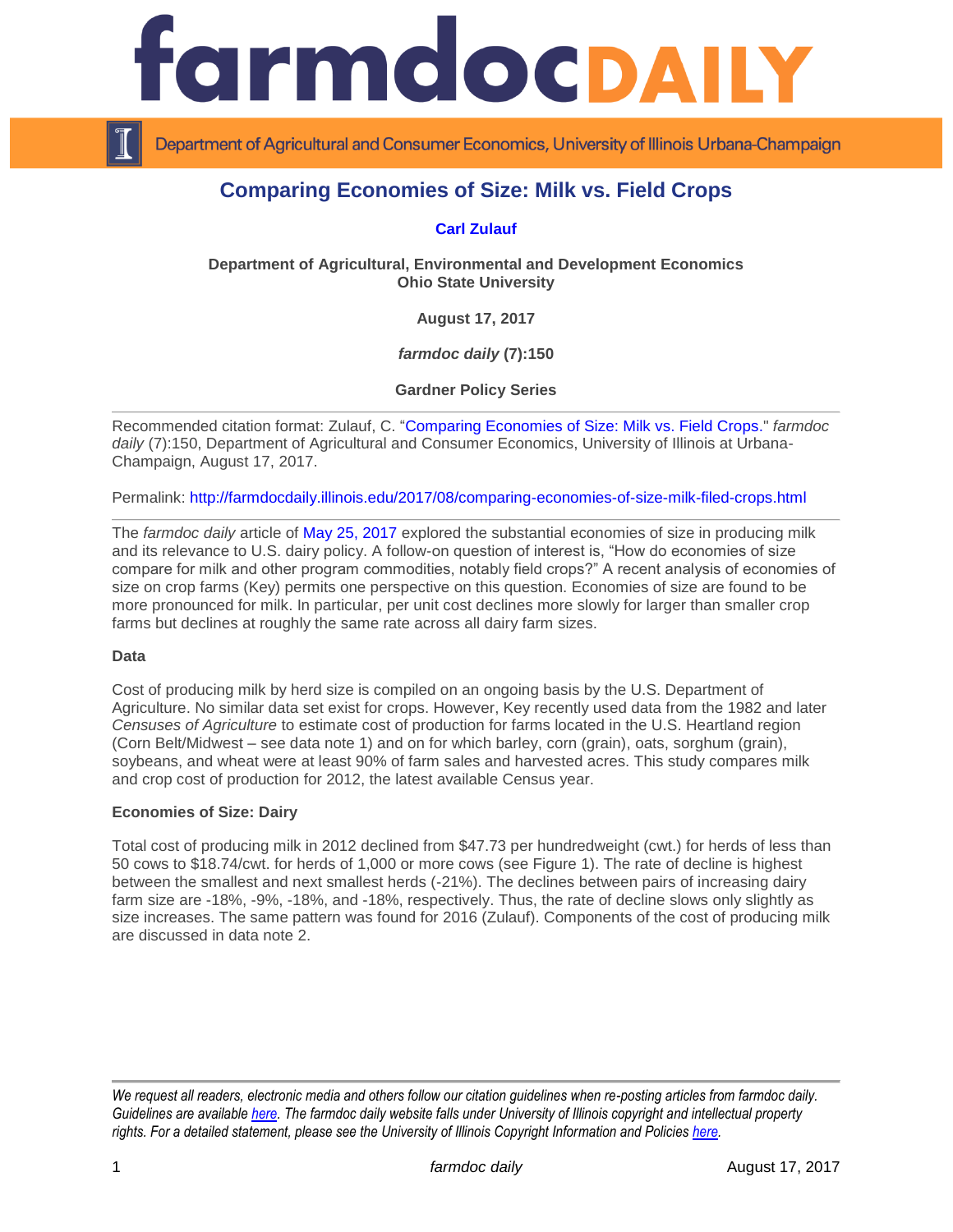

Department of Agricultural and Consumer Economics, University of Illinois Urbana-Champaign

# **Comparing Economies of Size: Milk vs. Field Crops**

## **[Carl Zulauf](http://aede.osu.edu/our-people/carl-zulauf)**

**Department of Agricultural, Environmental and Development Economics Ohio State University**

**August 17, 2017**

*farmdoc daily* **(7):150**

**Gardner Policy Series**

Recommended citation format: Zulauf, C. ["Comparing Economies of Size: Milk vs. Field Crops.](http://farmdocdaily.illinois.edu/2017/08/comparing-economies-of-size-milk-filed-crops.html)" *farmdoc daily* (7):150, Department of Agricultural and Consumer Economics, University of Illinois at Urbana-Champaign, August 17, 2017.

Permalink: <http://farmdocdaily.illinois.edu/2017/08/comparing-economies-of-size-milk-filed-crops.html>

The *farmdoc daily* article of [May 25, 2017](http://farmdocdaily.illinois.edu/2017/05/economies-size-in-producing-milk-us-dairy-policy.html) explored the substantial economies of size in producing milk and its relevance to U.S. dairy policy. A follow-on question of interest is, "How do economies of size compare for milk and other program commodities, notably field crops?" A recent analysis of economies of size on crop farms (Key) permits one perspective on this question. Economies of size are found to be more pronounced for milk. In particular, per unit cost declines more slowly for larger than smaller crop farms but declines at roughly the same rate across all dairy farm sizes.

#### **Data**

Cost of producing milk by herd size is compiled on an ongoing basis by the U.S. Department of Agriculture. No similar data set exist for crops. However, Key recently used data from the 1982 and later *Censuses of Agriculture* to estimate cost of production for farms located in the U.S. Heartland region (Corn Belt/Midwest – see data note 1) and on for which barley, corn (grain), oats, sorghum (grain), soybeans, and wheat were at least 90% of farm sales and harvested acres. This study compares milk and crop cost of production for 2012, the latest available Census year.

### **Economies of Size: Dairy**

Total cost of producing milk in 2012 declined from \$47.73 per hundredweight (cwt.) for herds of less than 50 cows to \$18.74/cwt. for herds of 1,000 or more cows (see Figure 1). The rate of decline is highest between the smallest and next smallest herds (-21%). The declines between pairs of increasing dairy farm size are -18%, -9%, -18%, and -18%, respectively. Thus, the rate of decline slows only slightly as size increases. The same pattern was found for 2016 (Zulauf). Components of the cost of producing milk are discussed in data note 2.

*We request all readers, electronic media and others follow our citation guidelines when re-posting articles from farmdoc daily. Guidelines are available [here.](http://farmdocdaily.illinois.edu/citationguide.html) The farmdoc daily website falls under University of Illinois copyright and intellectual property rights. For a detailed statement, please see the University of Illinois Copyright Information and Policies [here.](http://www.cio.illinois.edu/policies/copyright/)*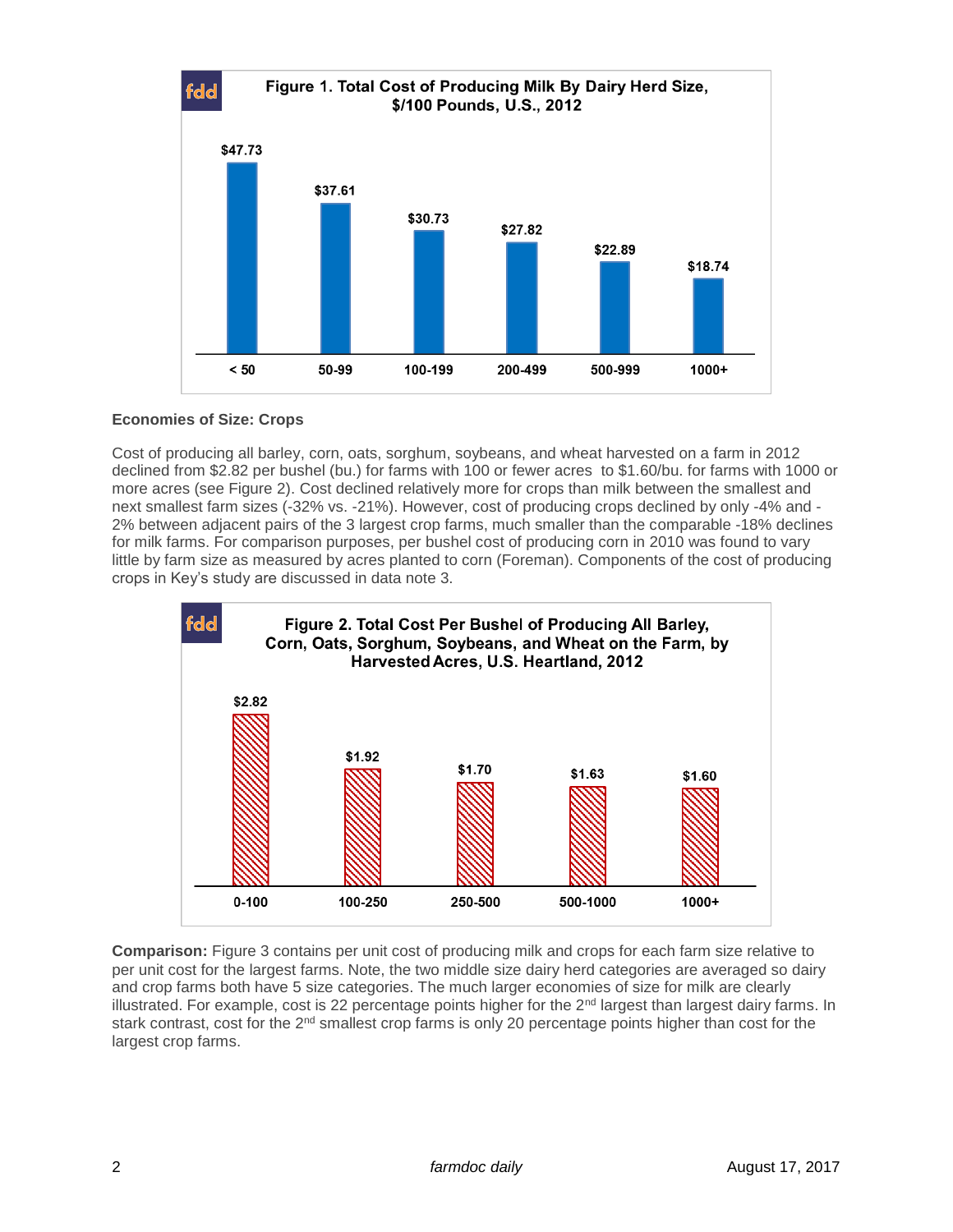

# **Economies of Size: Crops**

Cost of producing all barley, corn, oats, sorghum, soybeans, and wheat harvested on a farm in 2012 declined from \$2.82 per bushel (bu.) for farms with 100 or fewer acres to \$1.60/bu. for farms with 1000 or more acres (see Figure 2). Cost declined relatively more for crops than milk between the smallest and next smallest farm sizes (-32% vs. -21%). However, cost of producing crops declined by only -4% and - 2% between adjacent pairs of the 3 largest crop farms, much smaller than the comparable -18% declines for milk farms. For comparison purposes, per bushel cost of producing corn in 2010 was found to vary little by farm size as measured by acres planted to corn (Foreman). Components of the cost of producing crops in Key's study are discussed in data note 3.



**Comparison:** Figure 3 contains per unit cost of producing milk and crops for each farm size relative to per unit cost for the largest farms. Note, the two middle size dairy herd categories are averaged so dairy and crop farms both have 5 size categories. The much larger economies of size for milk are clearly illustrated. For example, cost is 22 percentage points higher for the 2<sup>nd</sup> largest than largest dairy farms. In stark contrast, cost for the 2<sup>nd</sup> smallest crop farms is only 20 percentage points higher than cost for the largest crop farms.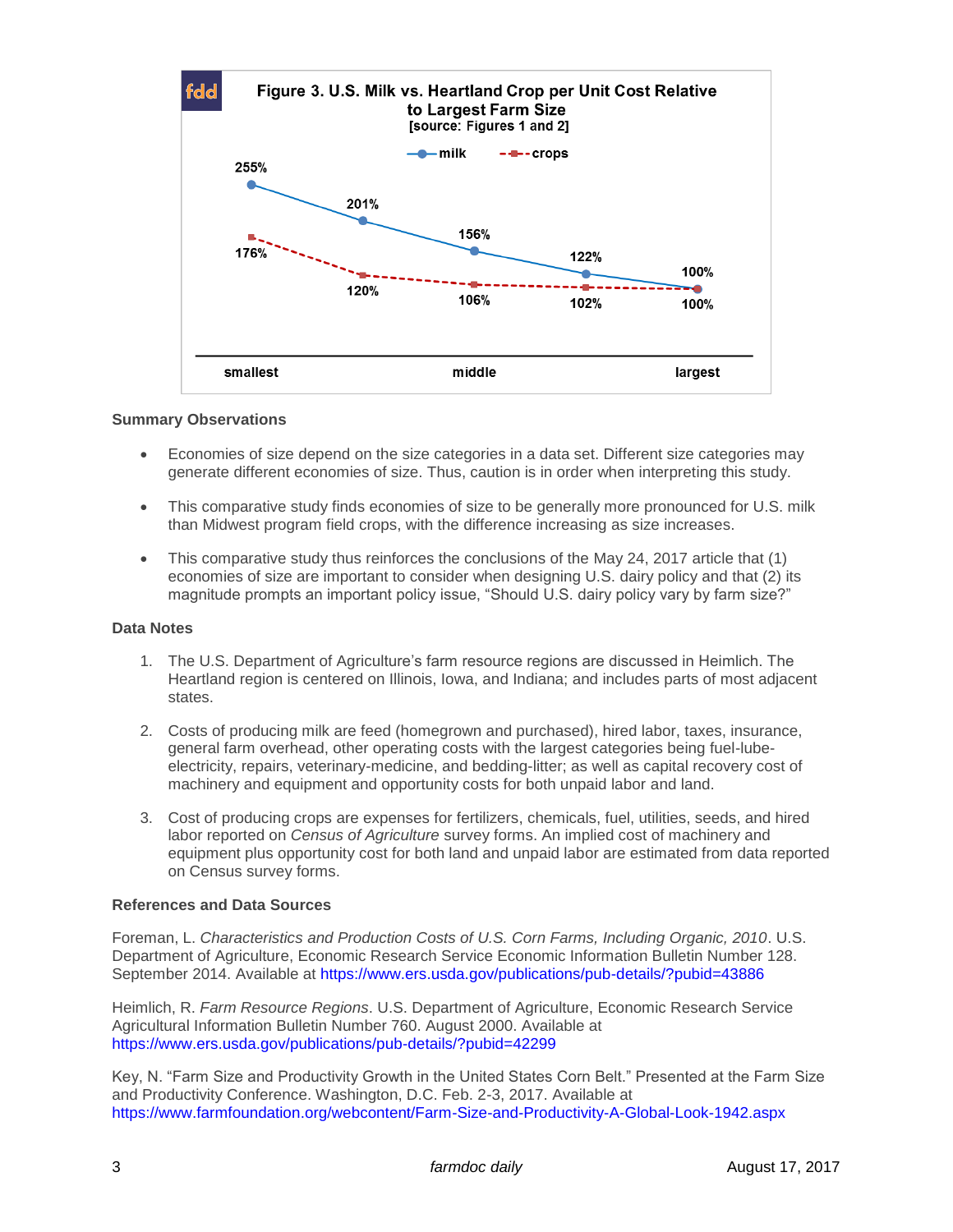

### **Summary Observations**

- Economies of size depend on the size categories in a data set. Different size categories may generate different economies of size. Thus, caution is in order when interpreting this study.
- This comparative study finds economies of size to be generally more pronounced for U.S. milk than Midwest program field crops, with the difference increasing as size increases.
- This comparative study thus reinforces the conclusions of the May 24, 2017 article that (1) economies of size are important to consider when designing U.S. dairy policy and that (2) its magnitude prompts an important policy issue, "Should U.S. dairy policy vary by farm size?"

#### **Data Notes**

- 1. The U.S. Department of Agriculture's farm resource regions are discussed in Heimlich. The Heartland region is centered on Illinois, Iowa, and Indiana; and includes parts of most adjacent states.
- 2. Costs of producing milk are feed (homegrown and purchased), hired labor, taxes, insurance, general farm overhead, other operating costs with the largest categories being fuel-lubeelectricity, repairs, veterinary-medicine, and bedding-litter; as well as capital recovery cost of machinery and equipment and opportunity costs for both unpaid labor and land.
- 3. Cost of producing crops are expenses for fertilizers, chemicals, fuel, utilities, seeds, and hired labor reported on *Census of Agriculture* survey forms. An implied cost of machinery and equipment plus opportunity cost for both land and unpaid labor are estimated from data reported on Census survey forms.

### **References and Data Sources**

Foreman, L. *Characteristics and Production Costs of U.S. Corn Farms, Including Organic, 2010*. U.S. Department of Agriculture, Economic Research Service Economic Information Bulletin Number 128. September 2014. Available at<https://www.ers.usda.gov/publications/pub-details/?pubid=43886>

Heimlich, R. *Farm Resource Regions*. U.S. Department of Agriculture, Economic Research Service Agricultural Information Bulletin Number 760. August 2000. Available at <https://www.ers.usda.gov/publications/pub-details/?pubid=42299>

Key, N. "Farm Size and Productivity Growth in the United States Corn Belt." Presented at the Farm Size and Productivity Conference. Washington, D.C. Feb. 2-3, 2017. Available at <https://www.farmfoundation.org/webcontent/Farm-Size-and-Productivity-A-Global-Look-1942.aspx>